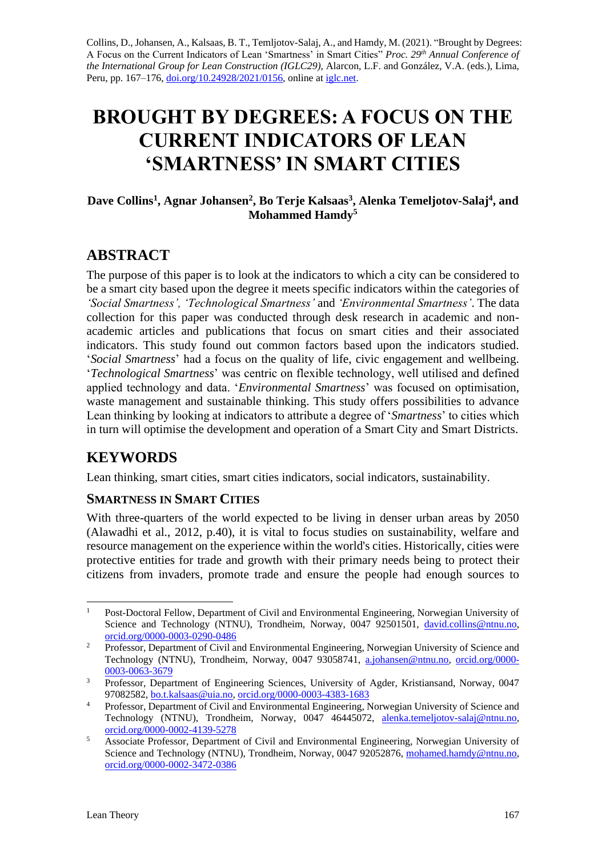Collins, D., Johansen, A., Kalsaas, B. T., Temljotov-Salaj, A., and Hamdy, M. (2021). "Brought by Degrees: A Focus on the Current Indicators of Lean 'Smartness' in Smart Cities" *Proc. 29 th Annual Conference of the International Group for Lean Construction (IGLC29),* Alarcon, L.F. and González, V.A. (eds.)*,* Lima, Peru, pp. 167–176, [doi.org/10.24928/2021/0156,](https://doi.org/10.24928/2021/0156) online at [iglc.net.](http://iglc.net/)

# **BROUGHT BY DEGREES: A FOCUS ON THE CURRENT INDICATORS OF LEAN 'SMARTNESS' IN SMART CITIES**

## **Dave Collins<sup>1</sup> , Agnar Johansen<sup>2</sup> , Bo Terje Kalsaas<sup>3</sup> , Alenka Temeljotov-Salaj<sup>4</sup> , and Mohammed Hamdy<sup>5</sup>**

# **ABSTRACT**

The purpose of this paper is to look at the indicators to which a city can be considered to be a smart city based upon the degree it meets specific indicators within the categories of *'Social Smartness', 'Technological Smartness'* and *'Environmental Smartness'*. The data collection for this paper was conducted through desk research in academic and nonacademic articles and publications that focus on smart cities and their associated indicators. This study found out common factors based upon the indicators studied. '*Social Smartness*' had a focus on the quality of life, civic engagement and wellbeing. '*Technological Smartness*' was centric on flexible technology, well utilised and defined applied technology and data. '*Environmental Smartness*' was focused on optimisation, waste management and sustainable thinking. This study offers possibilities to advance Lean thinking by looking at indicators to attribute a degree of '*Smartness*' to cities which in turn will optimise the development and operation of a Smart City and Smart Districts.

# **KEYWORDS**

Lean thinking, smart cities, smart cities indicators, social indicators, sustainability.

# **SMARTNESS IN SMART CITIES**

With three-quarters of the world expected to be living in denser urban areas by 2050 (Alawadhi et al., 2012, p.40), it is vital to focus studies on sustainability, welfare and resource management on the experience within the world's cities. Historically, cities were protective entities for trade and growth with their primary needs being to protect their citizens from invaders, promote trade and ensure the people had enough sources to

<sup>&</sup>lt;sup>1</sup> Post-Doctoral Fellow, Department of Civil and Environmental Engineering, Norwegian University of Science and Technology (NTNU), Trondheim, Norway, 0047 92501501, [david.collins@ntnu.no,](mailto:david.collins@ntnu.no) [orcid.org/0000-0003-0290-0486](http://orcid.org/0000-0003-0290-0486)

<sup>&</sup>lt;sup>2</sup> Professor, Department of Civil and Environmental Engineering, Norwegian University of Science and Technology (NTNU), Trondheim, Norway, 0047 93058741, [a.johansen@ntnu.no,](mailto:a.johansen@ntnu.no) [orcid.org/0000-](https://orcid.org/0000-0003-0063-3679) [0003-0063-3679](https://orcid.org/0000-0003-0063-3679)

<sup>&</sup>lt;sup>3</sup> Professor, Department of Engineering Sciences, University of Agder, Kristiansand, Norway, 0047 97082582, [bo.t.kalsaas@uia.no,](mailto:bo.t.kalsaas@uia.no) [orcid.org/0000-0003-4383-1683](https://orcid.org/0000-0003-4383-1683)

<sup>&</sup>lt;sup>4</sup> Professor, Department of Civil and Environmental Engineering, Norwegian University of Science and Technology (NTNU), Trondheim, Norway, 0047 46445072, [alenka.temeljotov-salaj@ntnu.no,](mailto:alenka.temeljotov-salaj@ntnu.no) [orcid.org/0000-0002-4139-5278](https://orcid.org/0000-0002-4139-5278)

<sup>&</sup>lt;sup>5</sup> Associate Professor, Department of Civil and Environmental Engineering, Norwegian University of Science and Technology (NTNU), Trondheim, Norway, 0047 92052876, [mohamed.hamdy@ntnu.no,](mailto:mohamed.hamdy@ntnu.no) [orcid.org/0000-0002-3472-0386](https://orcid.org/0000-0002-3472-0386)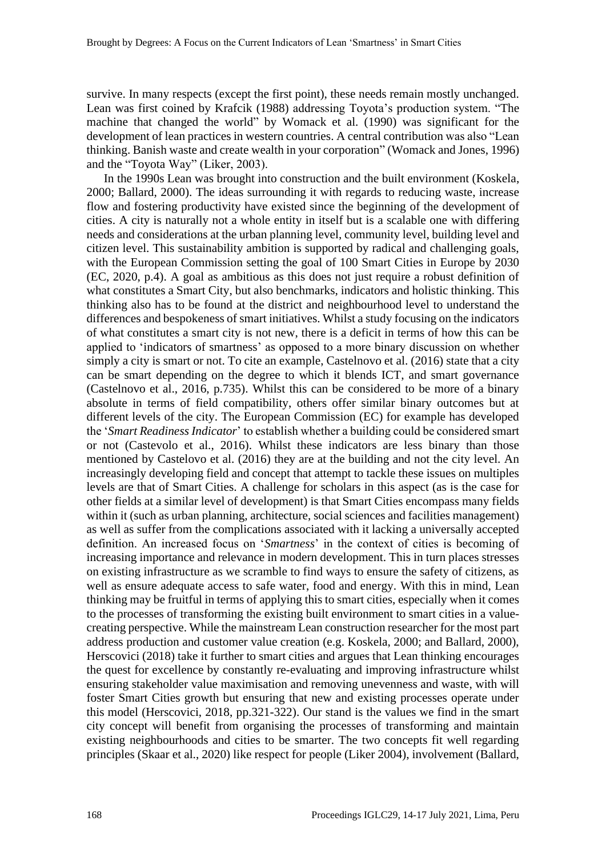survive. In many respects (except the first point), these needs remain mostly unchanged. Lean was first coined by Krafcik (1988) addressing Toyota's production system. "The machine that changed the world" by Womack et al. (1990) was significant for the development of lean practices in western countries. A central contribution was also "Lean thinking. Banish waste and create wealth in your corporation" (Womack and Jones, 1996) and the "Toyota Way" (Liker, 2003).

In the 1990s Lean was brought into construction and the built environment (Koskela, 2000; Ballard, 2000). The ideas surrounding it with regards to reducing waste, increase flow and fostering productivity have existed since the beginning of the development of cities. A city is naturally not a whole entity in itself but is a scalable one with differing needs and considerations at the urban planning level, community level, building level and citizen level. This sustainability ambition is supported by radical and challenging goals, with the European Commission setting the goal of 100 Smart Cities in Europe by 2030 (EC, 2020, p.4). A goal as ambitious as this does not just require a robust definition of what constitutes a Smart City, but also benchmarks, indicators and holistic thinking. This thinking also has to be found at the district and neighbourhood level to understand the differences and bespokeness of smart initiatives. Whilst a study focusing on the indicators of what constitutes a smart city is not new, there is a deficit in terms of how this can be applied to 'indicators of smartness' as opposed to a more binary discussion on whether simply a city is smart or not. To cite an example, Castelnovo et al. (2016) state that a city can be smart depending on the degree to which it blends ICT, and smart governance (Castelnovo et al., 2016, p.735). Whilst this can be considered to be more of a binary absolute in terms of field compatibility, others offer similar binary outcomes but at different levels of the city. The European Commission (EC) for example has developed the '*Smart Readiness Indicator*' to establish whether a building could be considered smart or not (Castevolo et al., 2016). Whilst these indicators are less binary than those mentioned by Castelovo et al. (2016) they are at the building and not the city level. An increasingly developing field and concept that attempt to tackle these issues on multiples levels are that of Smart Cities. A challenge for scholars in this aspect (as is the case for other fields at a similar level of development) is that Smart Cities encompass many fields within it (such as urban planning, architecture, social sciences and facilities management) as well as suffer from the complications associated with it lacking a universally accepted definition. An increased focus on '*Smartness*' in the context of cities is becoming of increasing importance and relevance in modern development. This in turn places stresses on existing infrastructure as we scramble to find ways to ensure the safety of citizens, as well as ensure adequate access to safe water, food and energy. With this in mind, Lean thinking may be fruitful in terms of applying this to smart cities, especially when it comes to the processes of transforming the existing built environment to smart cities in a valuecreating perspective. While the mainstream Lean construction researcher for the most part address production and customer value creation (e.g. Koskela, 2000; and Ballard, 2000), Herscovici (2018) take it further to smart cities and argues that Lean thinking encourages the quest for excellence by constantly re-evaluating and improving infrastructure whilst ensuring stakeholder value maximisation and removing unevenness and waste, with will foster Smart Cities growth but ensuring that new and existing processes operate under this model (Herscovici, 2018, pp.321-322). Our stand is the values we find in the smart city concept will benefit from organising the processes of transforming and maintain existing neighbourhoods and cities to be smarter. The two concepts fit well regarding principles (Skaar et al., 2020) like respect for people (Liker 2004), involvement (Ballard,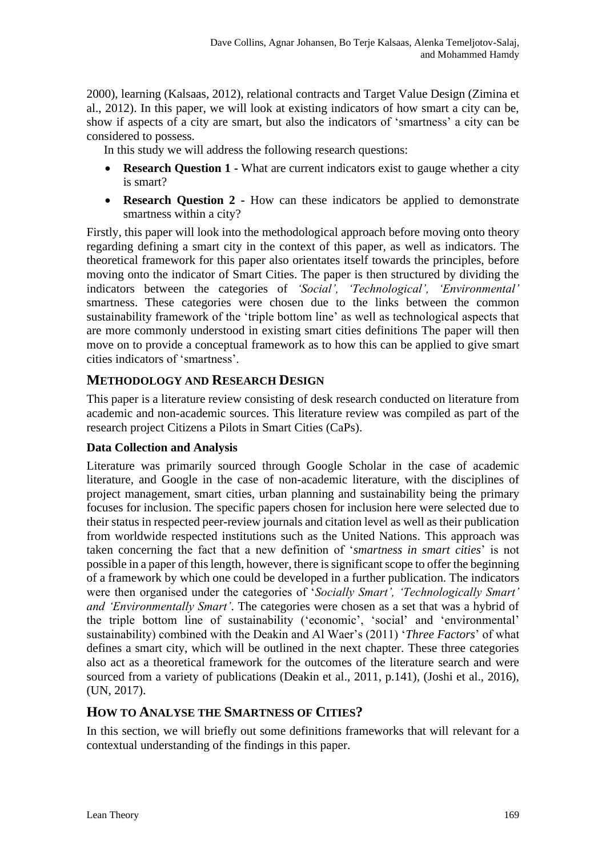2000), learning (Kalsaas, 2012), relational contracts and Target Value Design (Zimina et al., 2012). In this paper, we will look at existing indicators of how smart a city can be, show if aspects of a city are smart, but also the indicators of 'smartness' a city can be considered to possess.

In this study we will address the following research questions:

- **Research Question 1 -** What are current indicators exist to gauge whether a city is smart?
- **Research Question 2 -** How can these indicators be applied to demonstrate smartness within a city?

Firstly, this paper will look into the methodological approach before moving onto theory regarding defining a smart city in the context of this paper, as well as indicators. The theoretical framework for this paper also orientates itself towards the principles, before moving onto the indicator of Smart Cities. The paper is then structured by dividing the indicators between the categories of *'Social', 'Technological', 'Environmental'*  smartness. These categories were chosen due to the links between the common sustainability framework of the 'triple bottom line' as well as technological aspects that are more commonly understood in existing smart cities definitions The paper will then move on to provide a conceptual framework as to how this can be applied to give smart cities indicators of 'smartness'.

# **METHODOLOGY AND RESEARCH DESIGN**

This paper is a literature review consisting of desk research conducted on literature from academic and non-academic sources. This literature review was compiled as part of the research project Citizens a Pilots in Smart Cities (CaPs).

## **Data Collection and Analysis**

Literature was primarily sourced through Google Scholar in the case of academic literature, and Google in the case of non-academic literature, with the disciplines of project management, smart cities, urban planning and sustainability being the primary focuses for inclusion. The specific papers chosen for inclusion here were selected due to their status in respected peer-review journals and citation level as well as their publication from worldwide respected institutions such as the United Nations. This approach was taken concerning the fact that a new definition of '*smartness in smart cities*' is not possible in a paper of this length, however, there is significant scope to offer the beginning of a framework by which one could be developed in a further publication. The indicators were then organised under the categories of '*Socially Smart', 'Technologically Smart' and 'Environmentally Smart'*. The categories were chosen as a set that was a hybrid of the triple bottom line of sustainability ('economic', 'social' and 'environmental' sustainability) combined with the Deakin and Al Waer's (2011) '*Three Factors*' of what defines a smart city, which will be outlined in the next chapter. These three categories also act as a theoretical framework for the outcomes of the literature search and were sourced from a variety of publications (Deakin et al., 2011, p.141), (Joshi et al., 2016), (UN, 2017).

# **HOW TO ANALYSE THE SMARTNESS OF CITIES?**

In this section, we will briefly out some definitions frameworks that will relevant for a contextual understanding of the findings in this paper.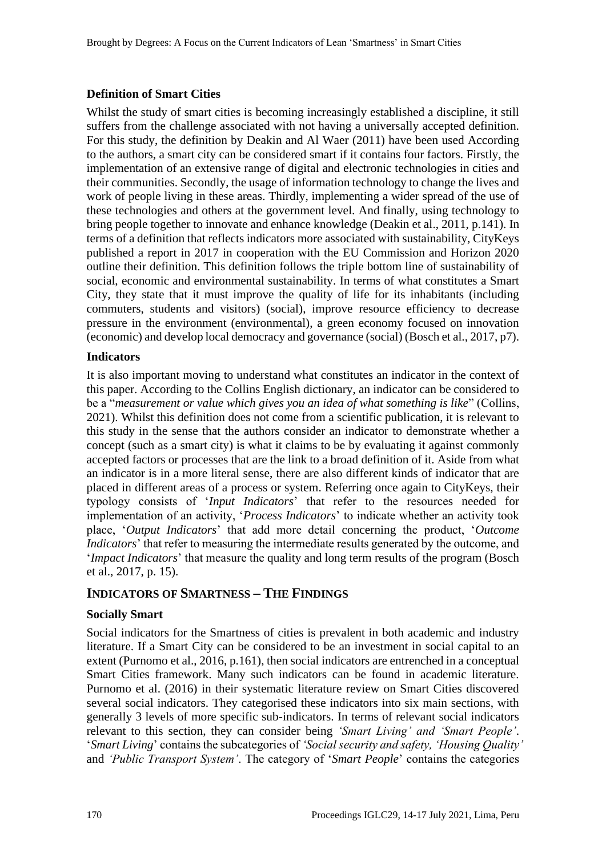#### **Definition of Smart Cities**

Whilst the study of smart cities is becoming increasingly established a discipline, it still suffers from the challenge associated with not having a universally accepted definition. For this study, the definition by Deakin and Al Waer (2011) have been used According to the authors, a smart city can be considered smart if it contains four factors. Firstly, the implementation of an extensive range of digital and electronic technologies in cities and their communities. Secondly, the usage of information technology to change the lives and work of people living in these areas. Thirdly, implementing a wider spread of the use of these technologies and others at the government level. And finally, using technology to bring people together to innovate and enhance knowledge (Deakin et al., 2011, p.141). In terms of a definition that reflects indicators more associated with sustainability, CityKeys published a report in 2017 in cooperation with the EU Commission and Horizon 2020 outline their definition. This definition follows the triple bottom line of sustainability of social, economic and environmental sustainability. In terms of what constitutes a Smart City, they state that it must improve the quality of life for its inhabitants (including commuters, students and visitors) (social), improve resource efficiency to decrease pressure in the environment (environmental), a green economy focused on innovation (economic) and develop local democracy and governance (social) (Bosch et al., 2017, p7).

#### **Indicators**

It is also important moving to understand what constitutes an indicator in the context of this paper. According to the Collins English dictionary, an indicator can be considered to be a "*measurement or value which gives you an idea of what something is like*" (Collins, 2021). Whilst this definition does not come from a scientific publication, it is relevant to this study in the sense that the authors consider an indicator to demonstrate whether a concept (such as a smart city) is what it claims to be by evaluating it against commonly accepted factors or processes that are the link to a broad definition of it. Aside from what an indicator is in a more literal sense, there are also different kinds of indicator that are placed in different areas of a process or system. Referring once again to CityKeys, their typology consists of '*Input Indicators*' that refer to the resources needed for implementation of an activity, '*Process Indicators*' to indicate whether an activity took place, '*Output Indicators*' that add more detail concerning the product, '*Outcome Indicators*' that refer to measuring the intermediate results generated by the outcome, and '*Impact Indicators*' that measure the quality and long term results of the program (Bosch et al., 2017, p. 15).

## **INDICATORS OF SMARTNESS – THE FINDINGS**

#### **Socially Smart**

Social indicators for the Smartness of cities is prevalent in both academic and industry literature. If a Smart City can be considered to be an investment in social capital to an extent (Purnomo et al., 2016, p.161), then social indicators are entrenched in a conceptual Smart Cities framework. Many such indicators can be found in academic literature. Purnomo et al. (2016) in their systematic literature review on Smart Cities discovered several social indicators. They categorised these indicators into six main sections, with generally 3 levels of more specific sub-indicators. In terms of relevant social indicators relevant to this section, they can consider being *'Smart Living' and 'Smart People'*. '*Smart Living*' contains the subcategories of *'Social security and safety, 'Housing Quality'*  and *'Public Transport System'*. The category of '*Smart People*' contains the categories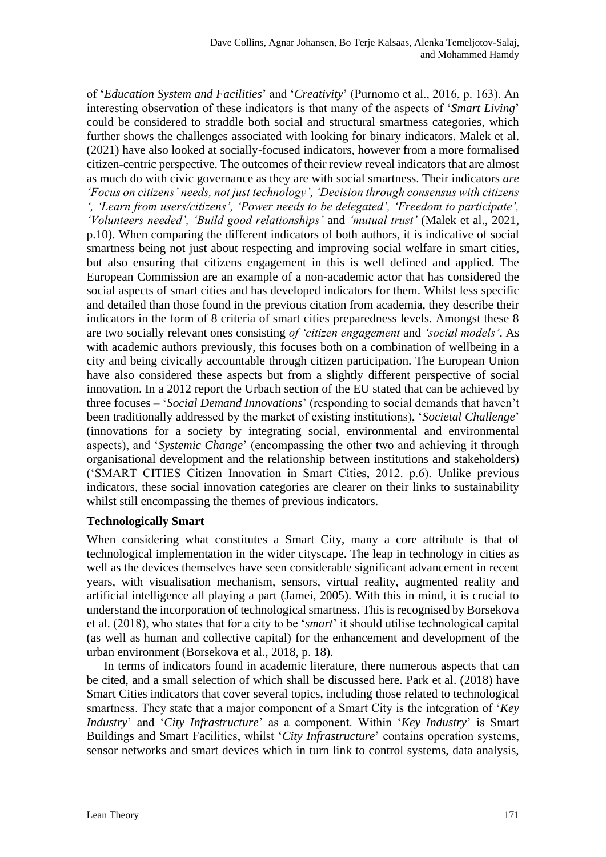of '*Education System and Facilities*' and '*Creativity*' (Purnomo et al., 2016, p. 163). An interesting observation of these indicators is that many of the aspects of '*Smart Living*' could be considered to straddle both social and structural smartness categories, which further shows the challenges associated with looking for binary indicators. Malek et al. (2021) have also looked at socially-focused indicators, however from a more formalised citizen-centric perspective. The outcomes of their review reveal indicators that are almost as much do with civic governance as they are with social smartness. Their indicators *are 'Focus on citizens' needs, not just technology', 'Decision through consensus with citizens ', 'Learn from users/citizens', 'Power needs to be delegated', 'Freedom to participate', 'Volunteers needed', 'Build good relationships'* and *'mutual trust'* (Malek et al., 2021, p.10). When comparing the different indicators of both authors, it is indicative of social smartness being not just about respecting and improving social welfare in smart cities, but also ensuring that citizens engagement in this is well defined and applied. The European Commission are an example of a non-academic actor that has considered the social aspects of smart cities and has developed indicators for them. Whilst less specific and detailed than those found in the previous citation from academia, they describe their indicators in the form of 8 criteria of smart cities preparedness levels. Amongst these 8 are two socially relevant ones consisting *of 'citizen engagement* and *'social models'*. As with academic authors previously, this focuses both on a combination of wellbeing in a city and being civically accountable through citizen participation. The European Union have also considered these aspects but from a slightly different perspective of social innovation. In a 2012 report the Urbach section of the EU stated that can be achieved by three focuses – '*Social Demand Innovations*' (responding to social demands that haven't been traditionally addressed by the market of existing institutions), '*Societal Challenge*' (innovations for a society by integrating social, environmental and environmental aspects), and '*Systemic Change*' (encompassing the other two and achieving it through organisational development and the relationship between institutions and stakeholders) ('SMART CITIES Citizen Innovation in Smart Cities, 2012. p.6). Unlike previous indicators, these social innovation categories are clearer on their links to sustainability whilst still encompassing the themes of previous indicators.

#### **Technologically Smart**

When considering what constitutes a Smart City, many a core attribute is that of technological implementation in the wider cityscape. The leap in technology in cities as well as the devices themselves have seen considerable significant advancement in recent years, with visualisation mechanism, sensors, virtual reality, augmented reality and artificial intelligence all playing a part (Jamei, 2005). With this in mind, it is crucial to understand the incorporation of technological smartness. This is recognised by Borsekova et al. (2018), who states that for a city to be '*smart*' it should utilise technological capital (as well as human and collective capital) for the enhancement and development of the urban environment (Borsekova et al., 2018, p. 18).

In terms of indicators found in academic literature, there numerous aspects that can be cited, and a small selection of which shall be discussed here. Park et al. (2018) have Smart Cities indicators that cover several topics, including those related to technological smartness. They state that a major component of a Smart City is the integration of '*Key Industry*' and '*City Infrastructure*' as a component. Within '*Key Industry*' is Smart Buildings and Smart Facilities, whilst '*City Infrastructure*' contains operation systems, sensor networks and smart devices which in turn link to control systems, data analysis,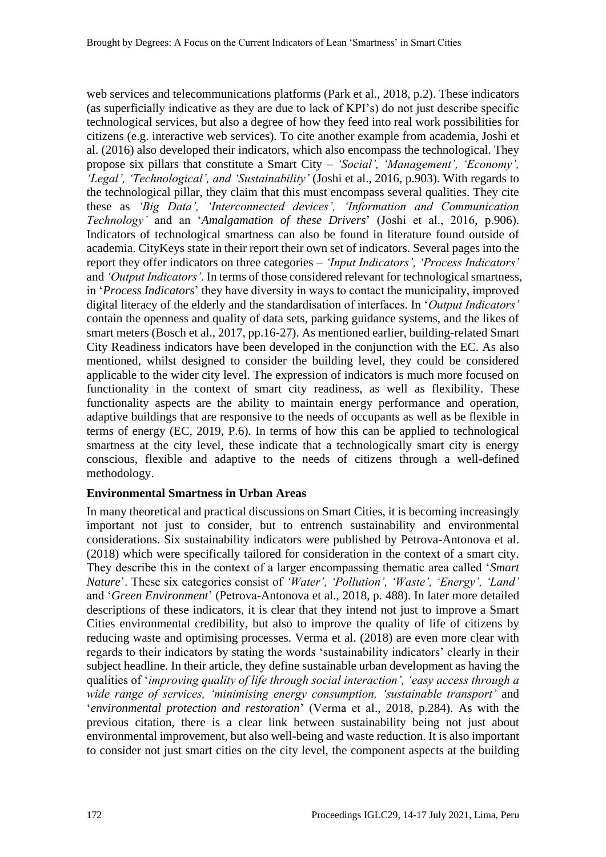web services and telecommunications platforms (Park et al., 2018, p.2). These indicators (as superficially indicative as they are due to lack of KPI's) do not just describe specific technological services, but also a degree of how they feed into real work possibilities for citizens (e.g. interactive web services). To cite another example from academia, Joshi et al. (2016) also developed their indicators, which also encompass the technological. They propose six pillars that constitute a Smart City – *'Social', 'Management', 'Economy', 'Legal', 'Technological', and 'Sustainability'* (Joshi et al., 2016, p.903). With regards to the technological pillar, they claim that this must encompass several qualities. They cite these as *'Big Data', 'Interconnected devices', 'Information and Communication Technology'* and an '*Amalgamation of these Drivers*' (Joshi et al., 2016, p.906). Indicators of technological smartness can also be found in literature found outside of academia. CityKeys state in their report their own set of indicators. Several pages into the report they offer indicators on three categories – *'Input Indicators', 'Process Indicators'* and *'Output Indicators'*. In terms of those considered relevant for technological smartness, in '*Process Indicators*' they have diversity in ways to contact the municipality, improved digital literacy of the elderly and the standardisation of interfaces. In '*Output Indicators'* contain the openness and quality of data sets, parking guidance systems, and the likes of smart meters (Bosch et al., 2017, pp.16-27). As mentioned earlier, building-related Smart City Readiness indicators have been developed in the conjunction with the EC. As also mentioned, whilst designed to consider the building level, they could be considered applicable to the wider city level. The expression of indicators is much more focused on functionality in the context of smart city readiness, as well as flexibility. These functionality aspects are the ability to maintain energy performance and operation, adaptive buildings that are responsive to the needs of occupants as well as be flexible in terms of energy (EC, 2019, P.6). In terms of how this can be applied to technological smartness at the city level, these indicate that a technologically smart city is energy conscious, flexible and adaptive to the needs of citizens through a well-defined methodology.

#### **Environmental Smartness in Urban Areas**

In many theoretical and practical discussions on Smart Cities, it is becoming increasingly important not just to consider, but to entrench sustainability and environmental considerations. Six sustainability indicators were published by Petrova-Antonova et al. (2018) which were specifically tailored for consideration in the context of a smart city. They describe this in the context of a larger encompassing thematic area called '*Smart Nature*'. These six categories consist of *'Water', 'Pollution', 'Waste', 'Energy', 'Land'* and '*Green Environment*' (Petrova-Antonova et al., 2018, p. 488). In later more detailed descriptions of these indicators, it is clear that they intend not just to improve a Smart Cities environmental credibility, but also to improve the quality of life of citizens by reducing waste and optimising processes. Verma et al. (2018) are even more clear with regards to their indicators by stating the words 'sustainability indicators' clearly in their subject headline. In their article, they define sustainable urban development as having the qualities of '*improving quality of life through social interaction', 'easy access through a wide range of services, 'minimising energy consumption, 'sustainable transport'* and '*environmental protection and restoration*' (Verma et al., 2018, p.284). As with the previous citation, there is a clear link between sustainability being not just about environmental improvement, but also well-being and waste reduction. It is also important to consider not just smart cities on the city level, the component aspects at the building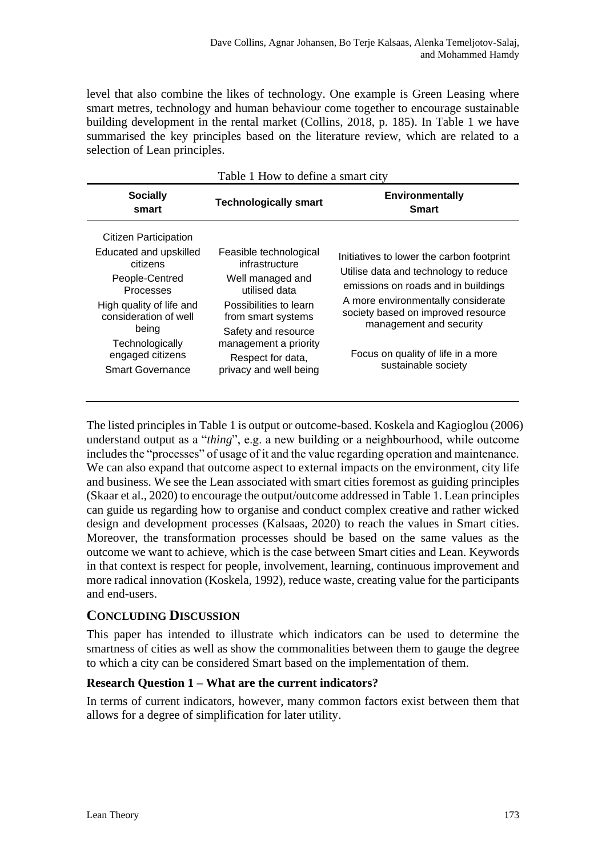level that also combine the likes of technology. One example is Green Leasing where smart metres, technology and human behaviour come together to encourage sustainable building development in the rental market (Collins, 2018, p. 185). In Table 1 we have summarised the key principles based on the literature review, which are related to a selection of Lean principles.

| Table 1 How to define a smart city                                                                                                                                                                                         |                                                                                                                                                                                                                              |                                                                                                                                                                                                                                                                                               |  |
|----------------------------------------------------------------------------------------------------------------------------------------------------------------------------------------------------------------------------|------------------------------------------------------------------------------------------------------------------------------------------------------------------------------------------------------------------------------|-----------------------------------------------------------------------------------------------------------------------------------------------------------------------------------------------------------------------------------------------------------------------------------------------|--|
| <b>Socially</b><br>smart                                                                                                                                                                                                   | <b>Technologically smart</b>                                                                                                                                                                                                 | <b>Environmentally</b><br><b>Smart</b>                                                                                                                                                                                                                                                        |  |
| Citizen Participation<br>Educated and upskilled<br>citizens<br>People-Centred<br>Processes<br>High quality of life and<br>consideration of well<br>being<br>Technologically<br>engaged citizens<br><b>Smart Governance</b> | Feasible technological<br>infrastructure<br>Well managed and<br>utilised data<br>Possibilities to learn<br>from smart systems<br>Safety and resource<br>management a priority<br>Respect for data,<br>privacy and well being | Initiatives to lower the carbon footprint<br>Utilise data and technology to reduce<br>emissions on roads and in buildings<br>A more environmentally considerate<br>society based on improved resource<br>management and security<br>Focus on quality of life in a more<br>sustainable society |  |
|                                                                                                                                                                                                                            |                                                                                                                                                                                                                              |                                                                                                                                                                                                                                                                                               |  |

The listed principles in Table 1 is output or outcome-based. Koskela and Kagioglou (2006) understand output as a "*thing*", e.g. a new building or a neighbourhood, while outcome includes the "processes" of usage of it and the value regarding operation and maintenance. We can also expand that outcome aspect to external impacts on the environment, city life and business. We see the Lean associated with smart cities foremost as guiding principles (Skaar et al., 2020) to encourage the output/outcome addressed in Table 1. Lean principles can guide us regarding how to organise and conduct complex creative and rather wicked design and development processes (Kalsaas, 2020) to reach the values in Smart cities. Moreover, the transformation processes should be based on the same values as the outcome we want to achieve, which is the case between Smart cities and Lean. Keywords in that context is respect for people, involvement, learning, continuous improvement and more radical innovation (Koskela, 1992), reduce waste, creating value for the participants and end-users.

# **CONCLUDING DISCUSSION**

This paper has intended to illustrate which indicators can be used to determine the smartness of cities as well as show the commonalities between them to gauge the degree to which a city can be considered Smart based on the implementation of them.

## **Research Question 1 – What are the current indicators?**

In terms of current indicators, however, many common factors exist between them that allows for a degree of simplification for later utility.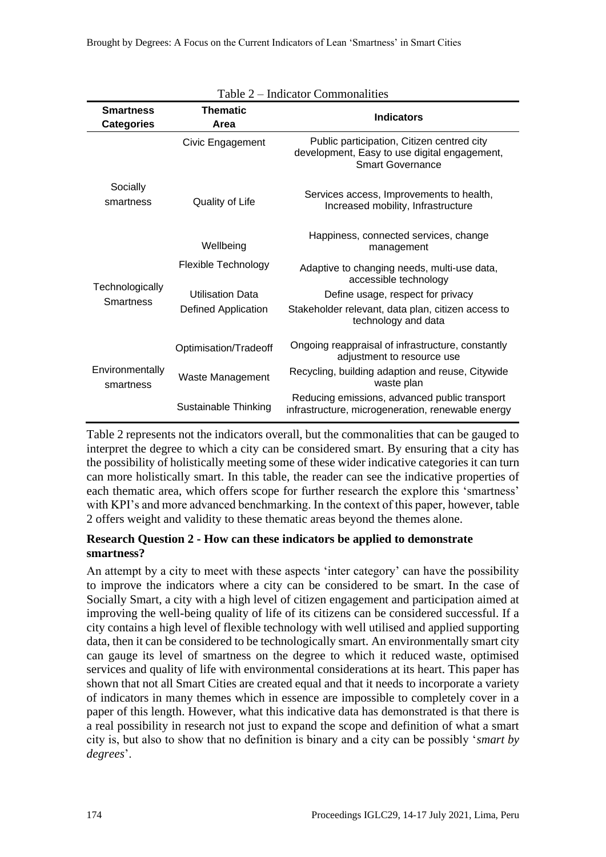| Table 2 – Indicator Commonalities     |                            |                                                                                                                       |  |
|---------------------------------------|----------------------------|-----------------------------------------------------------------------------------------------------------------------|--|
| <b>Smartness</b><br><b>Categories</b> | <b>Thematic</b><br>Area    | <b>Indicators</b>                                                                                                     |  |
|                                       | Civic Engagement           | Public participation, Citizen centred city<br>development, Easy to use digital engagement,<br><b>Smart Governance</b> |  |
| Socially<br>smartness                 | Quality of Life            | Services access, Improvements to health,<br>Increased mobility, Infrastructure                                        |  |
|                                       | Wellbeing                  | Happiness, connected services, change<br>management                                                                   |  |
| Technologically<br><b>Smartness</b>   | <b>Flexible Technology</b> | Adaptive to changing needs, multi-use data,<br>accessible technology                                                  |  |
|                                       | <b>Utilisation Data</b>    | Define usage, respect for privacy                                                                                     |  |
|                                       | <b>Defined Application</b> | Stakeholder relevant, data plan, citizen access to<br>technology and data                                             |  |
| Environmentally<br>smartness          | Optimisation/Tradeoff      | Ongoing reappraisal of infrastructure, constantly<br>adjustment to resource use                                       |  |
|                                       | Waste Management           | Recycling, building adaption and reuse, Citywide<br>waste plan                                                        |  |
|                                       | Sustainable Thinking       | Reducing emissions, advanced public transport<br>infrastructure, microgeneration, renewable energy                    |  |

Table 2 represents not the indicators overall, but the commonalities that can be gauged to interpret the degree to which a city can be considered smart. By ensuring that a city has the possibility of holistically meeting some of these wider indicative categories it can turn can more holistically smart. In this table, the reader can see the indicative properties of each thematic area, which offers scope for further research the explore this 'smartness' with KPI's and more advanced benchmarking. In the context of this paper, however, table 2 offers weight and validity to these thematic areas beyond the themes alone.

#### **Research Question 2 - How can these indicators be applied to demonstrate smartness?**

An attempt by a city to meet with these aspects 'inter category' can have the possibility to improve the indicators where a city can be considered to be smart. In the case of Socially Smart, a city with a high level of citizen engagement and participation aimed at improving the well-being quality of life of its citizens can be considered successful. If a city contains a high level of flexible technology with well utilised and applied supporting data, then it can be considered to be technologically smart. An environmentally smart city can gauge its level of smartness on the degree to which it reduced waste, optimised services and quality of life with environmental considerations at its heart. This paper has shown that not all Smart Cities are created equal and that it needs to incorporate a variety of indicators in many themes which in essence are impossible to completely cover in a paper of this length. However, what this indicative data has demonstrated is that there is a real possibility in research not just to expand the scope and definition of what a smart city is, but also to show that no definition is binary and a city can be possibly '*smart by degrees*'.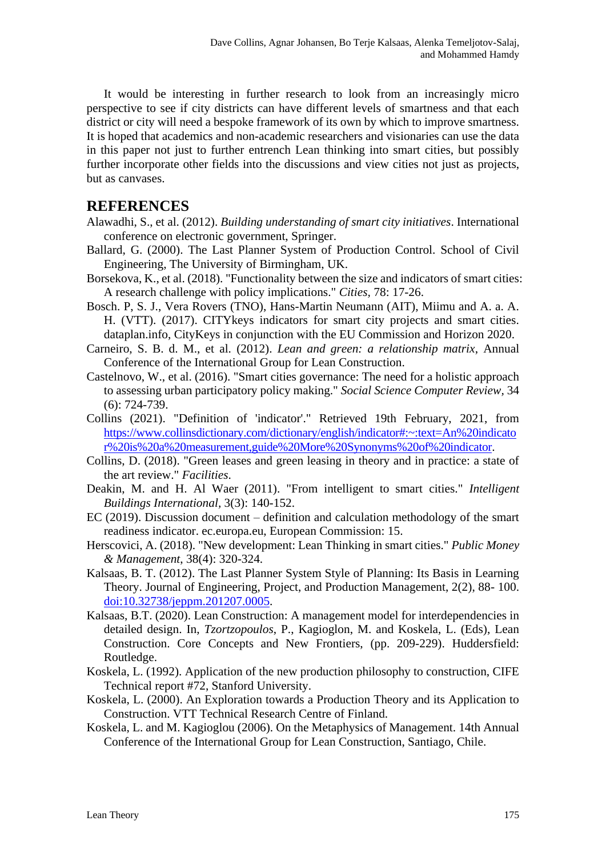It would be interesting in further research to look from an increasingly micro perspective to see if city districts can have different levels of smartness and that each district or city will need a bespoke framework of its own by which to improve smartness. It is hoped that academics and non-academic researchers and visionaries can use the data in this paper not just to further entrench Lean thinking into smart cities, but possibly further incorporate other fields into the discussions and view cities not just as projects, but as canvases.

# **REFERENCES**

- Alawadhi, S., et al. (2012). *Building understanding of smart city initiatives*. International conference on electronic government, Springer.
- Ballard, G. (2000). The Last Planner System of Production Control. School of Civil Engineering, The University of Birmingham, UK.
- Borsekova, K., et al. (2018). "Functionality between the size and indicators of smart cities: A research challenge with policy implications." *Cities,* 78: 17-26.
- Bosch. P, S. J., Vera Rovers (TNO), Hans-Martin Neumann (AIT), Miimu and A. a. A. H. (VTT). (2017). CITYkeys indicators for smart city projects and smart cities. dataplan.info, CityKeys in conjunction with the EU Commission and Horizon 2020.
- Carneiro, S. B. d. M., et al. (2012). *Lean and green: a relationship matrix*, Annual Conference of the International Group for Lean Construction.
- Castelnovo, W., et al. (2016). "Smart cities governance: The need for a holistic approach to assessing urban participatory policy making." *Social Science Computer Review,* 34 (6): 724-739.
- Collins (2021). "Definition of 'indicator'." Retrieved 19th February, 2021, from [https://www.collinsdictionary.com/dictionary/english/indicator#:~:text=An%20indicato](https://www.collinsdictionary.com/dictionary/english/indicator#:~:text=An%20indicator%20is%20a%20measurement,guide%20More%20Synonyms%20of%20indicator) [r%20is%20a%20measurement,guide%20More%20Synonyms%20of%20indicator.](https://www.collinsdictionary.com/dictionary/english/indicator#:~:text=An%20indicator%20is%20a%20measurement,guide%20More%20Synonyms%20of%20indicator)
- Collins, D. (2018). "Green leases and green leasing in theory and in practice: a state of the art review." *Facilities*.
- Deakin, M. and H. Al Waer (2011). "From intelligent to smart cities." *Intelligent Buildings International,* 3(3): 140-152.
- EC (2019). Discussion document definition and calculation methodology of the smart readiness indicator. ec.europa.eu, European Commission: 15.
- Herscovici, A. (2018). "New development: Lean Thinking in smart cities." *Public Money & Management*, 38(4): 320-324.
- Kalsaas, B. T. (2012). The Last Planner System Style of Planning: Its Basis in Learning Theory. Journal of Engineering, Project, and Production Management, 2(2), 88- 100. [doi:10.32738/jeppm.201207.0005.](http://www.ppml.url.tw/EPPM_Journal/volumns/02_02_July_2012/ID_019_2_2_88_100.htm)
- Kalsaas, B.T. (2020). Lean Construction: A management model for interdependencies in detailed design. In, *Tzortzopoulos*, P., Kagioglon, M. and Koskela, L. (Eds), Lean Construction. Core Concepts and New Frontiers, (pp. 209-229). Huddersfield: Routledge.
- Koskela, L. (1992). Application of the new production philosophy to construction, CIFE Technical report #72, Stanford University.
- Koskela, L. (2000). An Exploration towards a Production Theory and its Application to Construction. VTT Technical Research Centre of Finland.
- Koskela, L. and M. Kagioglou (2006). On the Metaphysics of Management. 14th Annual Conference of the International Group for Lean Construction, Santiago, Chile.